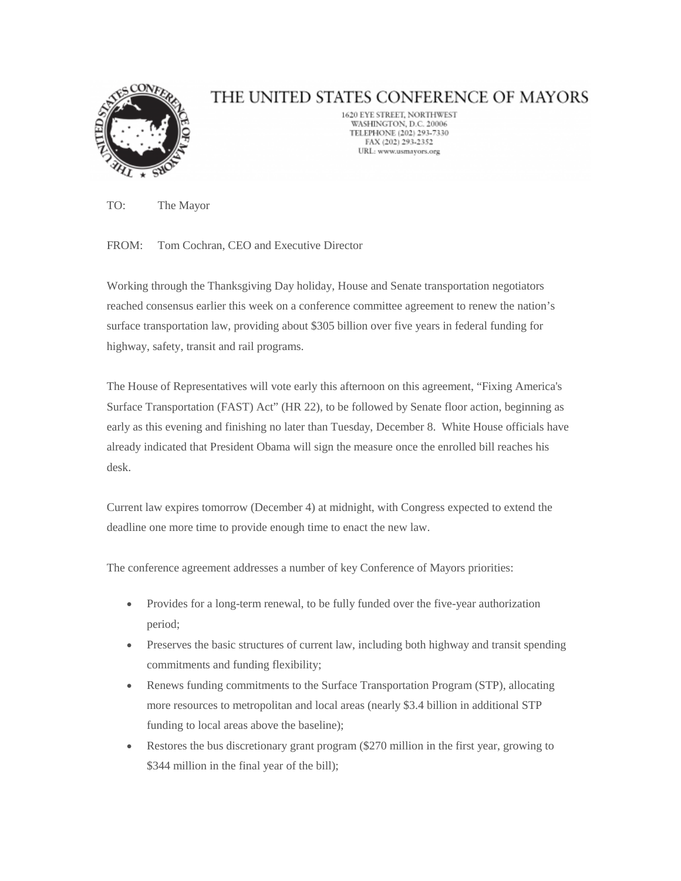

## THE UNITED STATES CONFERENCE OF MAYORS

1620 EYE STREET, NORTHWEST WASHINGTON, D.C. 20006 TELEPHONE (202) 293-7330 FAX (202) 293-2352 URL: www.usmayors.org

TO: The Mayor

FROM: Tom Cochran, CEO and Executive Director

Working through the Thanksgiving Day holiday, House and Senate transportation negotiators reached consensus earlier this week on a conference committee agreement to renew the nation's surface transportation law, providing about \$305 billion over five years in federal funding for highway, safety, transit and rail programs.

The House of Representatives will vote early this afternoon on this agreement, "Fixing America's Surface Transportation (FAST) Act" (HR 22), to be followed by Senate floor action, beginning as early as this evening and finishing no later than Tuesday, December 8. White House officials have already indicated that President Obama will sign the measure once the enrolled bill reaches his desk.

Current law expires tomorrow (December 4) at midnight, with Congress expected to extend the deadline one more time to provide enough time to enact the new law.

The conference agreement addresses a number of key Conference of Mayors priorities:

- Provides for a long-term renewal, to be fully funded over the five-year authorization period;
- Preserves the basic structures of current law, including both highway and transit spending commitments and funding flexibility;
- Renews funding commitments to the Surface Transportation Program (STP), allocating more resources to metropolitan and local areas (nearly \$3.4 billion in additional STP funding to local areas above the baseline);
- Restores the bus discretionary grant program (\$270 million in the first year, growing to \$344 million in the final year of the bill);